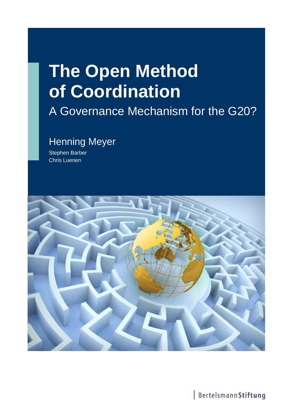# **The Open Method of Coordination**

## A Governance Mechanism for the G20?

### Henning Meyer

Stephen Barber Chris Luenen



BertelsmannStiftung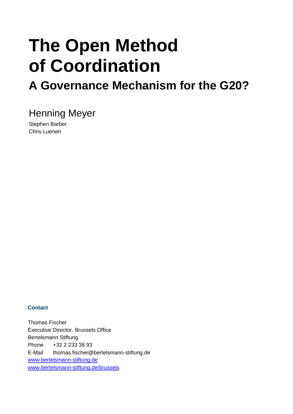# **The Open Method of Coordination**

## **A Governance Mechanism for the G20?**

Henning Meyer

Stephen Barber Chris Luenen

#### **Contact**

Thomas Fischer Executive Director, Brussels Office Bertelsmann Stiftung Phone +32 2 233 38 93 E-Mail thomas.fischer@bertelsmann-stiftung.de www.bertelsmann-stiftung.de www.bertelsmann-stiftung.de/brussels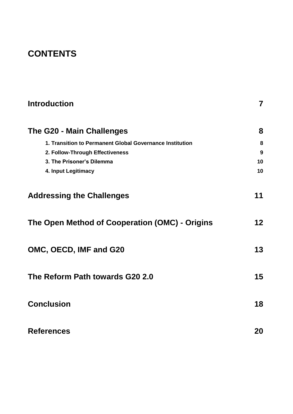### **CONTENTS**

| <b>Introduction</b>                                      | $\overline{\mathbf{7}}$ |
|----------------------------------------------------------|-------------------------|
| The G20 - Main Challenges                                | 8                       |
| 1. Transition to Permanent Global Governance Institution | 8                       |
| 2. Follow-Through Effectiveness                          | 9                       |
| 3. The Prisoner's Dilemma                                | 10                      |
| 4. Input Legitimacy                                      | 10                      |
| <b>Addressing the Challenges</b>                         | 11                      |
| The Open Method of Cooperation (OMC) - Origins           | 12                      |
| OMC, OECD, IMF and G20                                   | 13                      |
| The Reform Path towards G20 2.0                          | 15                      |
| <b>Conclusion</b>                                        | 18                      |
| <b>References</b>                                        | 20                      |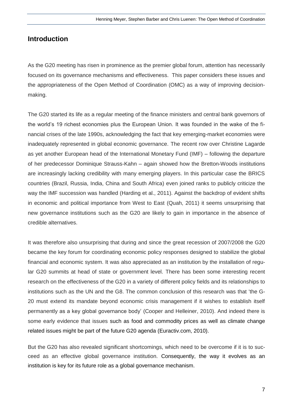#### **Introduction**

As the G20 meeting has risen in prominence as the premier global forum, attention has necessarily focused on its governance mechanisms and effectiveness. This paper considers these issues and the appropriateness of the Open Method of Coordination (OMC) as a way of improving decisionmaking.

The G20 started its life as a regular meeting of the finance ministers and central bank governors of the world's 19 richest economies plus the European Union. It was founded in the wake of the financial crises of the late 1990s, acknowledging the fact that key emerging-market economies were inadequately represented in global economic governance. The recent row over Christine Lagarde as yet another European head of the International Monetary Fund (IMF) – following the departure of her predecessor Dominique Strauss-Kahn – again showed how the Bretton-Woods institutions are increasingly lacking credibility with many emerging players. In this particular case the BRICS countries (Brazil, Russia, India, China and South Africa) even joined ranks to publicly criticize the way the IMF succession was handled [\(Harding et al., 2011\)](#page-19-0). Against the backdrop of evident shifts in economic and political importance from West to East [\(Quah, 2011\)](#page-19-1) it seems unsurprising that new governance institutions such as the G20 are likely to gain in importance in the absence of credible alternatives.

It was therefore also unsurprising that during and since the great recession of 2007/2008 the G20 became the key forum for coordinating economic policy responses designed to stabilize the global financial and economic system. It was also appreciated as an institution by the installation of regular G20 summits at head of state or government level. There has been some interesting recent research on the effectiveness of the G20 in a variety of different policy fields and its relationships to institutions such as the UN and the G8. The common conclusion of this research was that 'the G-20 must extend its mandate beyond economic crisis management if it wishes to establish itself permanently as a key global governance body' [\(Cooper and Helleiner, 2010\)](#page-19-2). And indeed there is some early evidence that issues such as food and commodity prices as well as climate change related issues might be part of the future G20 agenda [\(Euractiv.com, 2010\)](#page-19-3).

But the G20 has also revealed significant shortcomings, which need to be overcome if it is to succeed as an effective global governance institution. Consequently, the way it evolves as an institution is key for its future role as a global governance mechanism.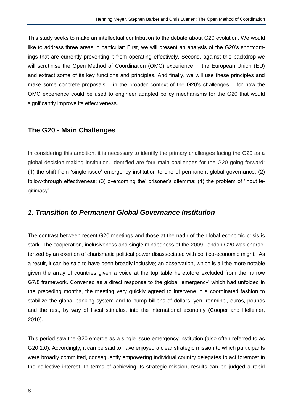This study seeks to make an intellectual contribution to the debate about G20 evolution. We would like to address three areas in particular: First, we will present an analysis of the G20's shortcomings that are currently preventing it from operating effectively. Second, against this backdrop we will scrutinise the Open Method of Coordination (OMC) experience in the European Union (EU) and extract some of its key functions and principles. And finally, we will use these principles and make some concrete proposals – in the broader context of the G20's challenges – for how the OMC experience could be used to engineer adapted policy mechanisms for the G20 that would significantly improve its effectiveness.

#### **The G20 - Main Challenges**

In considering this ambition, it is necessary to identify the primary challenges facing the G20 as a global decision-making institution. Identified are four main challenges for the G20 going forward: (1) the shift from 'single issue' emergency institution to one of permanent global governance; (2) follow-through effectiveness; (3) overcoming the' prisoner's dilemma; (4) the problem of 'input legitimacy'.

#### *1. Transition to Permanent Global Governance Institution*

The contrast between recent G20 meetings and those at the nadir of the global economic crisis is stark. The cooperation, inclusiveness and single mindedness of the 2009 London G20 was characterized by an exertion of charismatic political power disassociated with politico-economic might. As a result, it can be said to have been broadly inclusive; an observation, which is all the more notable given the array of countries given a voice at the top table heretofore excluded from the narrow G7/8 framework. Convened as a direct response to the global 'emergency' which had unfolded in the preceding months, the meeting very quickly agreed to intervene in a coordinated fashion to stabilize the global banking system and to pump billions of dollars, yen, renminbi, euros, pounds and the rest, by way of fiscal stimulus, into the international economy [\(Cooper and Helleiner,](#page-19-2)  [2010\)](#page-19-2).

This period saw the G20 emerge as a single issue emergency institution (also often referred to as G20 1.0). Accordingly, it can be said to have enjoyed a clear strategic mission to which participants were broadly committed, consequently empowering individual country delegates to act foremost in the collective interest. In terms of achieving its strategic mission, results can be judged a rapid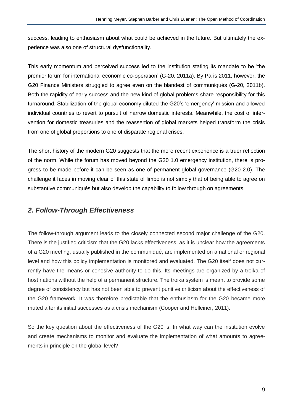success, leading to enthusiasm about what could be achieved in the future. But ultimately the experience was also one of structural dysfunctionality.

This early momentum and perceived success led to the institution stating its mandate to be 'the premier forum for international economic co-operation' [\(G-20, 2011a\)](#page-19-4). By Paris 2011, however, the G20 Finance Ministers struggled to agree even on the blandest of communiqués [\(G-20, 2011b\)](#page-19-5). Both the rapidity of early success and the new kind of global problems share responsibility for this turnaround. Stabilization of the global economy diluted the G20's 'emergency' mission and allowed individual countries to revert to pursuit of narrow domestic interests. Meanwhile, the cost of intervention for domestic treasuries and the reassertion of global markets helped transform the crisis from one of global proportions to one of disparate regional crises.

The short history of the modern G20 suggests that the more recent experience is a truer reflection of the norm. While the forum has moved beyond the G20 1.0 emergency institution, there is progress to be made before it can be seen as one of permanent global governance (G20 2.0). The challenge it faces in moving clear of this state of limbo is not simply that of being able to agree on substantive communiqués but also develop the capability to follow through on agreements.

#### *2. Follow-Through Effectiveness*

The follow-through argument leads to the closely connected second major challenge of the G20. There is the justified criticism that the G20 lacks effectiveness, as it is unclear how the agreements of a G20 meeting, usually published in the communiqué, are implemented on a national or regional level and how this policy implementation is monitored and evaluated. The G20 itself does not currently have the means or cohesive authority to do this. Its meetings are organized by a troika of host nations without the help of a permanent structure. The troika system is meant to provide some degree of consistency but has not been able to prevent punitive criticism about the effectiveness of the G20 framework. It was therefore predictable that the enthusiasm for the G20 became more muted after its initial successes as a crisis mechanism [\(Cooper and Helleiner, 2011\)](#page-19-6).

So the key question about the effectiveness of the G20 is: In what way can the institution evolve and create mechanisms to monitor and evaluate the implementation of what amounts to agreements in principle on the global level?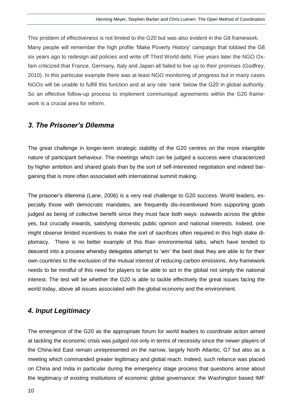This problem of effectiveness is not limited to the G20 but was also evident in the G8 framework. Many people will remember the high profile 'Make Poverty History' campaign that lobbied the G8 six years ago to redesign aid policies and write off Third World debt. Five years later the NGO Oxfam criticized that France, Germany, Italy and Japan all failed to live up to their promises [\(Godfrey,](#page-19-7)  [2010\)](#page-19-7). In this particular example there was at least NGO monitoring of progress but in many cases NGOs will be unable to fulfill this function and at any rate 'rank' below the G20 in global authority. So an effective follow-up process to implement communiqué agreements within the G20 framework is a crucial area for reform.

#### *3. The Prisoner's Dilemma*

The great challenge in longer-term strategic stability of the G20 centres on the more intangible nature of participant behaviour. The meetings which can be judged a success were characterized by higher ambition and shared goals than by the sort of self-interested negotiation and indeed bargaining that is more often associated with international summit making.

The prisoner's dilemma [\(Lane, 2006\)](#page-19-8) is a very real challenge to G20 success. World leaders, especially those with democratic mandates, are frequently dis-incentivised from supporting goals judged as being of collective benefit since they must face both ways: outwards across the globe yes, but crucially inwards, satisfying domestic public opinion and national interests. Indeed, one might observe limited incentives to make the sort of sacrifices often required in this high stake diplomacy. There is no better example of this than environmental talks, which have tended to descend into a process whereby delegates attempt to 'win' the best deal they are able to for their own countries to the exclusion of the mutual interest of reducing carbon emissions. Any framework needs to be mindful of this need for players to be able to act in the global not simply the national interest. The test will be whether the G20 is able to tackle effectively the great issues facing the world today, above all issues associated with the global economy and the environment.

#### *4. Input Legitimacy*

The emergence of the G20 as the appropriate forum for world leaders to coordinate action aimed at tackling the economic crisis was judged not only in terms of necessity since the newer players of the China-led East remain unrepresented on the narrow, largely North Atlantic, G7 but also as a meeting which commanded greater legitimacy and global reach. Indeed, such reliance was placed on China and India in particular during the emergency stage process that questions arose about the legitimacy of existing institutions of economic global governance: the Washington based IMF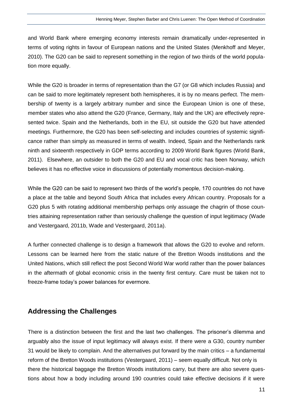and World Bank where emerging economy interests remain dramatically under-represented in terms of voting rights in favour of European nations and the United States [\(Menkhoff and Meyer,](#page-19-9)  [2010\)](#page-19-9). The G20 can be said to represent something in the region of two thirds of the world population more equally.

While the G20 is broader in terms of representation than the G7 (or G8 which includes Russia) and can be said to more legitimately represent both hemispheres, it is by no means perfect. The membership of twenty is a largely arbitrary number and since the European Union is one of these, member states who also attend the G20 (France, Germany, Italy and the UK) are effectively represented twice. Spain and the Netherlands, both in the EU, sit outside the G20 but have attended meetings. Furthermore, the G20 has been self-selecting and includes countries of systemic significance rather than simply as measured in terms of wealth. Indeed, Spain and the Netherlands rank ninth and sixteenth respectively in GDP terms according to 2009 World Bank figures [\(World Bank,](#page-20-0)  [2011\)](#page-20-0). Elsewhere, an outsider to both the G20 and EU and vocal critic has been Norway, which believes it has no effective voice in discussions of potentially momentous decision-making.

While the G20 can be said to represent two thirds of the world's people, 170 countries do not have a place at the table and beyond South Africa that includes every African country. Proposals for a G20 plus 5 with rotating additional membership perhaps only assuage the chagrin of those countries attaining representation rather than seriously challenge the question of input legitimacy [\(Wade](#page-20-1)  [and Vestergaard, 2011b,](#page-20-1) [Wade and Vestergaard, 2011a\)](#page-20-2).

A further connected challenge is to design a framework that allows the G20 to evolve and reform. Lessons can be learned here from the static nature of the Bretton Woods institutions and the United Nations, which still reflect the post Second World War world rather than the power balances in the aftermath of global economic crisis in the twenty first century. Care must be taken not to freeze-frame today's power balances for evermore.

#### **Addressing the Challenges**

There is a distinction between the first and the last two challenges. The prisoner's dilemma and arguably also the issue of input legitimacy will always exist. If there were a G30, country number 31 would be likely to complain. And the alternatives put forward by the main critics – a fundamental reform of the Bretton Woods institutions [\(Vestergaard, 2011\)](#page-20-3) – seem equally difficult. Not only is there the historical baggage the Bretton Woods institutions carry, but there are also severe questions about how a body including around 190 countries could take effective decisions if it were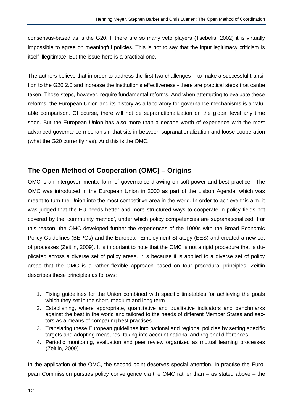consensus-based as is the G20. If there are so many veto players [\(Tsebelis, 2002\)](#page-20-4) it is virtually impossible to agree on meaningful policies. This is not to say that the input legitimacy criticism is itself illegitimate. But the issue here is a practical one.

The authors believe that in order to address the first two challenges – to make a successful transition to the G20 2.0 and increase the institution's effectiveness - there are practical steps that canbe taken. Those steps, however, require fundamental reforms. And when attempting to evaluate these reforms, the European Union and its history as a laboratory for governance mechanisms is a valuable comparison. Of course, there will not be supranationalization on the global level any time soon. But the European Union has also more than a decade worth of experience with the most advanced governance mechanism that sits in-between supranationalization and loose cooperation (what the G20 currently has). And this is the OMC.

#### **The Open Method of Cooperation (OMC) Origins**

OMC is an intergovernmental form of governance drawing on soft power and best practice. The OMC was introduced in the European Union in 2000 as part of the Lisbon Agenda, which was meant to turn the Union into the most competitive area in the world. In order to achieve this aim, it was judged that the EU needs better and more structured ways to cooperate in policy fields not covered by the 'community method', under which policy competencies are supranationalized. For this reason, the OMC developed further the experiences of the 1990s with the Broad Economic Policy Guidelines (BEPGs) and the European Employment Strategy (EES) and created a new set of processes [\(Zeitlin, 2009\)](#page-20-5). It is important to note that the OMC is not a rigid procedure that is duplicated across a diverse set of policy areas. It is because it is applied to a diverse set of policy areas that the OMC is a rather flexible approach based on four procedural principles. Zeitlin describes these principles as follows:

- 1. Fixing guidelines for the Union combined with specific timetables for achieving the goals which they set in the short, medium and long term
- 2. Establishing, where appropriate, quantitative and qualitative indicators and benchmarks against the best in the world and tailored to the needs of different Member States and sectors as a means of comparing best practises
- 3. Translating these European guidelines into national and regional policies by setting specific targets and adopting measures, taking into account national and regional differences
- 4. Periodic monitoring, evaluation and peer review organized as mutual learning processes [\(Zeitlin, 2009\)](#page-20-5)

In the application of the OMC, the second point deserves special attention. In practise the European Commission pursues policy convergence via the OMC rather than – as stated above – the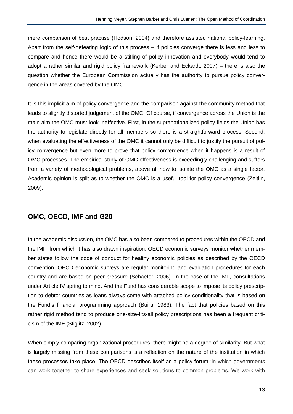mere comparison of best practise [\(Hodson, 2004\)](#page-19-10) and therefore assisted national policy-learning. Apart from the self-defeating logic of this process – if policies converge there is less and less to compare and hence there would be a stifling of policy innovation and everybody would tend to adopt a rather similar and rigid policy framework [\(Kerber and Eckardt, 2007\)](#page-19-11) – there is also the question whether the European Commission actually has the authority to pursue policy convergence in the areas covered by the OMC.

It is this implicit aim of policy convergence and the comparison against the community method that leads to slightly distorted judgement of the OMC. Of course, if convergence across the Union is the main aim the OMC must look ineffective. First, in the supranationalized policy fields the Union has the authority to legislate directly for all members so there is a straightforward process. Second, when evaluating the effectiveness of the OMC it cannot only be difficult to justify the pursuit of policy convergence but even more to prove that policy convergence when it happens is a result of OMC processes. The empirical study of OMC effectiveness is exceedingly challenging and suffers from a variety of methodological problems, above all how to isolate the OMC as a single factor. Academic opinion is split as to whether the OMC is a useful tool for policy convergence [\(Zeitlin,](#page-20-5)  [2009\)](#page-20-5).

#### **OMC, OECD, IMF and G20**

In the academic discussion, the OMC has also been compared to procedures within the OECD and the IMF, from which it has also drawn inspiration. OECD economic surveys monitor whether member states follow the code of conduct for healthy economic policies as described by the OECD convention. OECD economic surveys are regular monitoring and evaluation procedures for each country and are based on peer-pressure [\(Schaefer, 2006\)](#page-20-6). In the case of the IMF, consultations under Article IV spring to mind. And the Fund has considerable scope to impose its policy prescription to debtor countries as loans always come with attached policy conditionality that is based on the Fund's financial programming approach [\(Buira, 1983\)](#page-19-12). The fact that policies based on this rather rigid method tend to produce one-size-fits-all policy prescriptions has been a frequent criticism of the IMF [\(Stiglitz, 2002\)](#page-20-7).

When simply comparing organizational procedures, there might be a degree of similarity. But what is largely missing from these comparisons is a reflection on the nature of the institution in which these processes take place. The OECD describes itself as a policy forum 'in which governments can work together to share experiences and seek solutions to common problems. We work with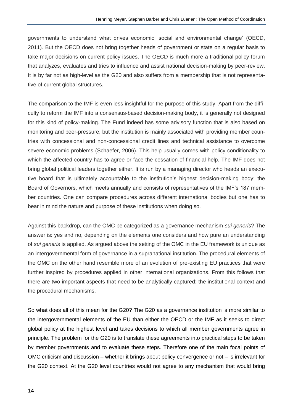governments to understand what drives economic, social and environmental change' [\(OECD,](#page-19-13)  [2011\)](#page-19-13). But the OECD does not bring together heads of government or state on a regular basis to take major decisions on current policy issues. The OECD is much more a traditional policy forum that analyzes, evaluates and tries to influence and assist national decision-making by peer-review. It is by far not as high-level as the G20 and also suffers from a membership that is not representative of current global structures.

The comparison to the IMF is even less insightful for the purpose of this study. Apart from the difficulty to reform the IMF into a consensus-based decision-making body, it is generally not designed for this kind of policy-making. The Fund indeed has some advisory function that is also based on monitoring and peer-pressure, but the institution is mainly associated with providing member countries with concessional and non-concessional credit lines and technical assistance to overcome severe economic problems [\(Schaefer, 2006\)](#page-20-6). This help usually comes with policy conditionality to which the affected country has to agree or face the cessation of financial help. The IMF does not bring global political leaders together either. It is run by a managing director who heads an executive board that is ultimately accountable to the institution's highest decision-making body: the Board of Governors, which meets annually and consists of representatives of the IMF's 187 member countries. One can compare procedures across different international bodies but one has to bear in mind the nature and purpose of these institutions when doing so.

Against this backdrop, can the OMC be categorized as a governance mechanism *sui generis*? The answer is: yes and no, depending on the elements one considers and how pure an understanding of *sui generis* is applied. As argued above the setting of the OMC in the EU framework is unique as an intergovernmental form of governance in a supranational institution. The procedural elements of the OMC on the other hand resemble more of an evolution of pre-existing EU practices that were further inspired by procedures applied in other international organizations. From this follows that there are two important aspects that need to be analytically captured: the institutional context and the procedural mechanisms.

So what does all of this mean for the G20? The G20 as a governance institution is more similar to the intergovernmental elements of the EU than either the OECD or the IMF as it seeks to direct global policy at the highest level and takes decisions to which all member governments agree in principle. The problem for the G20 is to translate these agreements into practical steps to be taken by member governments and to evaluate these steps. Therefore one of the main focal points of OMC criticism and discussion – whether it brings about policy convergence or not – is irrelevant for the G20 context. At the G20 level countries would not agree to any mechanism that would bring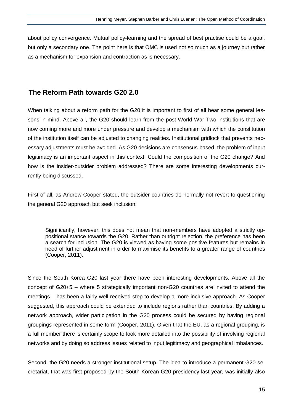about policy convergence. Mutual policy-learning and the spread of best practise could be a goal, but only a secondary one. The point here is that OMC is used not so much as a journey but rather as a mechanism for expansion and contraction as is necessary.

#### **The Reform Path towards G20 2.0**

When talking about a reform path for the G20 it is important to first of all bear some general lessons in mind. Above all, the G20 should learn from the post-World War Two institutions that are now coming more and more under pressure and develop a mechanism with which the constitution of the institution itself can be adjusted to changing realities. Institutional gridlock that prevents necessary adjustments must be avoided. As G20 decisions are consensus-based, the problem of input legitimacy is an important aspect in this context. Could the composition of the G20 change? And how is the insider-outsider problem addressed? There are some interesting developments currently being discussed.

First of all, as Andrew Cooper stated, the outsider countries do normally not revert to questioning the general G20 approach but seek inclusion:

Significantly, however, this does not mean that non-members have adopted a strictly oppositional stance towards the G20. Rather than outright rejection, the preference has been a search for inclusion. The G20 is viewed as having some positive features but remains in need of further adjustment in order to maximise its benefits to a greater range of countries [\(Cooper, 2011\)](#page-19-14).

Since the South Korea G20 last year there have been interesting developments. Above all the concept of G20+5 – where 5 strategically important non-G20 countries are invited to attend the meetings – has been a fairly well received step to develop a more inclusive approach. As Cooper suggested, this approach could be extended to include regions rather than countries. By adding a network approach, wider participation in the G20 process could be secured by having regional groupings represented in some form [\(Cooper, 2011\)](#page-19-14). Given that the EU, as a regional grouping, is a full member there is certainly scope to look more detailed into the possibility of involving regional networks and by doing so address issues related to input legitimacy and geographical imbalances.

Second, the G20 needs a stronger institutional setup. The idea to introduce a permanent G20 secretariat, that was first proposed by the South Korean G20 presidency last year, was initially also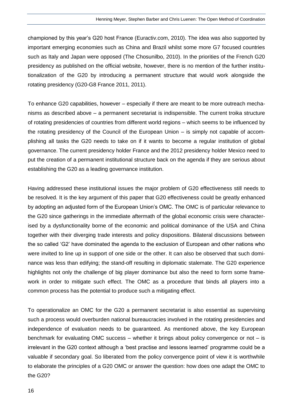championed by this year's G20 host France [\(Euractiv.com, 2010\)](#page-19-3). The idea was also supported by important emerging economies such as China and Brazil whilst some more G7 focused countries such as Italy and Japan were opposed [\(The Chosunilbo, 2010\)](#page-20-8). In the priorities of the French G20 presidency as published on the official website, however, there is no mention of the further institutionalization of the G20 by introducing a permanent structure that would work alongside the rotating presidency [\(G20-G8 France 2011, 2011\)](#page-19-15).

To enhance G20 capabilities, however – especially if there are meant to be more outreach mechanisms as described above – a permanent secretariat is indispensible. The current troika structure of rotating presidencies of countries from different world regions – which seems to be influenced by the rotating presidency of the Council of the European Union – is simply not capable of accomplishing all tasks the G20 needs to take on if it wants to become a regular institution of global governance. The current presidency holder France and the 2012 presidency holder Mexico need to put the creation of a permanent institutional structure back on the agenda if they are serious about establishing the G20 as a leading governance institution.

Having addressed these institutional issues the major problem of G20 effectiveness still needs to be resolved. It is the key argument of this paper that G20 effectiveness could be greatly enhanced by adopting an adjusted form of the European Union's OMC. The OMC is of particular relevance to the G20 since gatherings in the immediate aftermath of the global economic crisis were characterised by a dysfunctionality borne of the economic and political dominance of the USA and China together with their diverging trade interests and policy dispositions. Bilateral discussions between the so called 'G2' have dominated the agenda to the exclusion of European and other nations who were invited to line up in support of one side or the other. It can also be observed that such dominance was less than edifying; the stand-off resulting in diplomatic stalemate. The G20 experience highlights not only the challenge of big player dominance but also the need to form some framework in order to mitigate such effect. The OMC as a procedure that binds all players into a common process has the potential to produce such a mitigating effect.

To operationalize an OMC for the G20 a permanent secretariat is also essential as supervising such a process would overburden national bureaucracies involved in the rotating presidencies and independence of evaluation needs to be guaranteed. As mentioned above, the key European benchmark for evaluating OMC success – whether it brings about policy convergence or not – is irrelevant in the G20 context although a 'best practise and lessons learned' programme could be a valuable if secondary goal. So liberated from the policy convergence point of view it is worthwhile to elaborate the principles of a G20 OMC or answer the question: how does one adapt the OMC to the G20?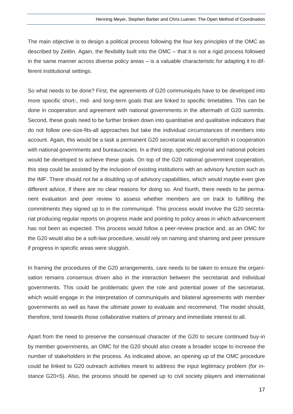The main objective is to design a political process following the four key principles of the OMC as described by Zeitlin. Again, the flexibility built into the OMC – that it is not a rigid process followed in the same manner across diverse policy areas – is a valuable characteristic for adapting it to different institutional settings.

So what needs to be done? First, the agreements of G20 communiqués have to be developed into more specific short-, mid- and long-term goals that are linked to specific timetables. This can be done in cooperation and agreement with national governments in the aftermath of G20 summits. Second, these goals need to be further broken down into quantitative and qualitative indicators that do not follow one-size-fits-all approaches but take the individual circumstances of members into account. Again, this would be a task a permanent G20 secretariat would accomplish in cooperation with national governments and bureaucracies. In a third step, specific regional and national policies would be developed to achieve these goals. On top of the G20 national government cooperation, this step could be assisted by the inclusion of existing institutions with an advisory function such as the IMF. There should not be a doubling up of advisory capabilities, which would maybe even give different advice, if there are no clear reasons for doing so. And fourth, there needs to be permanent evaluation and peer review to assess whether members are on track to fulfilling the commitments they signed up to in the communiqué. This process would involve the G20 secretariat producing regular reports on progress made and pointing to policy areas in which advancement has not been as expected. This process would follow a peer-review practice and, as an OMC for the G20 would also be a soft-law procedure, would rely on naming and shaming and peer pressure if progress in specific areas were sluggish.

In framing the procedures of the G20 arrangements, care needs to be taken to ensure the organisation remains consensus driven also in the interaction between the secretariat and individual governments. This could be problematic given the role and potential power of the secretariat, which would engage in the interpretation of communiqués and bilateral agreements with member governments as well as have the ultimate power to evaluate and recommend. The model should, therefore, tend towards those collaborative matters of primary and immediate interest to all.

Apart from the need to preserve the consensual character of the G20 to secure continued buy-in by member governments, an OMC for the G20 should also create a broader scope to increase the number of stakeholders in the process. As indicated above, an opening up of the OMC procedure could be linked to G20 outreach activities meant to address the input legitimacy problem (for instance G20+5). Also, the process should be opened up to civil society players and international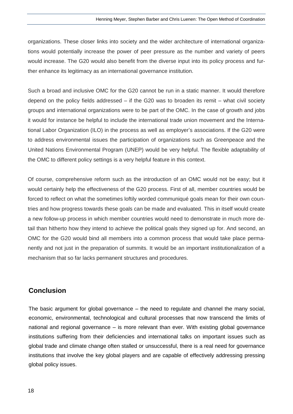organizations. These closer links into society and the wider architecture of international organizations would potentially increase the power of peer pressure as the number and variety of peers would increase. The G20 would also benefit from the diverse input into its policy process and further enhance its legitimacy as an international governance institution.

Such a broad and inclusive OMC for the G20 cannot be run in a static manner. It would therefore depend on the policy fields addressed – if the G20 was to broaden its remit – what civil society groups and international organizations were to be part of the OMC. In the case of growth and jobs it would for instance be helpful to include the international trade union movement and the International Labor Organization (ILO) in the process as well as employer's associations. If the G20 were to address environmental issues the participation of organizations such as Greenpeace and the United Nations Environmental Program (UNEP) would be very helpful. The flexible adaptability of the OMC to different policy settings is a very helpful feature in this context.

Of course, comprehensive reform such as the introduction of an OMC would not be easy; but it would certainly help the effectiveness of the G20 process. First of all, member countries would be forced to reflect on what the sometimes loftily worded communiqué goals mean for their own countries and how progress towards these goals can be made and evaluated. This in itself would create a new follow-up process in which member countries would need to demonstrate in much more detail than hitherto how they intend to achieve the political goals they signed up for. And second, an OMC for the G20 would bind all members into a common process that would take place permanently and not just in the preparation of summits. It would be an important institutionalization of a mechanism that so far lacks permanent structures and procedures.

#### **Conclusion**

The basic argument for global governance – the need to regulate and channel the many social, economic, environmental, technological and cultural processes that now transcend the limits of national and regional governance – is more relevant than ever. With existing global governance institutions suffering from their deficiencies and international talks on important issues such as global trade and climate change often stalled or unsuccessful, there is a real need for governance institutions that involve the key global players and are capable of effectively addressing pressing global policy issues.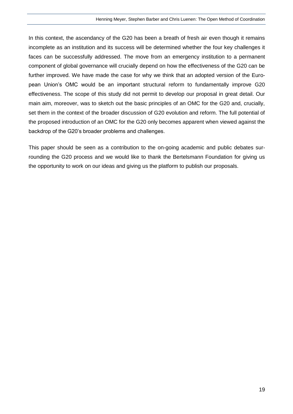In this context, the ascendancy of the G20 has been a breath of fresh air even though it remains incomplete as an institution and its success will be determined whether the four key challenges it faces can be successfully addressed. The move from an emergency institution to a permanent component of global governance will crucially depend on how the effectiveness of the G20 can be further improved. We have made the case for why we think that an adopted version of the European Union's OMC would be an important structural reform to fundamentally improve G20 effectiveness. The scope of this study did not permit to develop our proposal in great detail. Our main aim, moreover, was to sketch out the basic principles of an OMC for the G20 and, crucially, set them in the context of the broader discussion of G20 evolution and reform. The full potential of the proposed introduction of an OMC for the G20 only becomes apparent when viewed against the backdrop of the G20's broader problems and challenges.

This paper should be seen as a contribution to the on-going academic and public debates surrounding the G20 process and we would like to thank the Bertelsmann Foundation for giving us the opportunity to work on our ideas and giving us the platform to publish our proposals.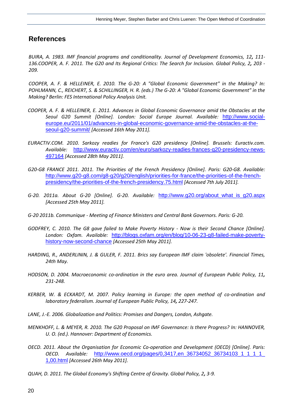#### **References**

<span id="page-19-14"></span><span id="page-19-12"></span>*BUIRA, A. 1983. IMF financial programs and conditionality. Journal of Development Economics, 12, 111- 136.COOPER, A. F. 2011. The G20 and Its Regional Critics: The Search for Inclusion. Global Policy, 2, 203 - 209.*

<span id="page-19-2"></span>*COOPER, A. F. & HELLEINER, E. 2010. The G-20: A "Global Economic Government" in the Making? In: POHLMANN, C., REICHERT, S. & SCHILLINGER, H. R. (eds.) The G-20: A "Global Economic Government" in the Making? Berlin: FES International Policy Analysis Unit.*

- <span id="page-19-6"></span>*COOPER, A. F. & HELLEINER, E. 2011. Advances in Global Economic Governance amid the Obstacles at the Seoul G20 Summit [Online]. London: Social Europe Journal. Available:* [http://www.social](http://www.social-europe.eu/2011/01/advances-in-global-economic-governance-amid-the-obstacles-at-the-seoul-g20-summit/)[europe.eu/2011/01/advances-in-global-economic-governance-amid-the-obstacles-at-the](http://www.social-europe.eu/2011/01/advances-in-global-economic-governance-amid-the-obstacles-at-the-seoul-g20-summit/)[seoul-g20-summit/](http://www.social-europe.eu/2011/01/advances-in-global-economic-governance-amid-the-obstacles-at-the-seoul-g20-summit/) *[Accessed 16th May 2011].*
- <span id="page-19-3"></span>*EURACTIV.COM. 2010. Sarkozy readies for France's G20 presidency [Online]. Brussels: Euractiv.com. Available:* [http://www.euractiv.com/en/euro/sarkozy-readies-frances-g20-presidency-news-](http://www.euractiv.com/en/euro/sarkozy-readies-frances-g20-presidency-news-497164)[497164](http://www.euractiv.com/en/euro/sarkozy-readies-frances-g20-presidency-news-497164) *[Accessed 28th May 2011].*
- <span id="page-19-15"></span>*G20-G8 FRANCE 2011. 2011. The Priorities of the French Presidency [Online]. Paris: G20-G8. Available:*  [http://www.g20-g8.com/g8-g20/g20/english/priorities-for-france/the-priorities-of-the-french](http://www.g20-g8.com/g8-g20/g20/english/priorities-for-france/the-priorities-of-the-french-presidency/the-priorities-of-the-french-presidency.75.html)[presidency/the-priorities-of-the-french-presidency.75.html](http://www.g20-g8.com/g8-g20/g20/english/priorities-for-france/the-priorities-of-the-french-presidency/the-priorities-of-the-french-presidency.75.html) *[Accessed 7th July 2011].*
- <span id="page-19-4"></span>*G-20. 2011a. About G-20 [Online]. G-20. Available:* [http://www.g20.org/about\\_what\\_is\\_g20.aspx](http://www.g20.org/about_what_is_g20.aspx) *[Accessed 25th May 2011].*
- <span id="page-19-5"></span>*G-20 2011b. Communique - Meeting of Finance Ministers and Central Bank Governors. Paris: G-20.*
- <span id="page-19-7"></span>*GODFREY, C. 2010. The G8 gave failed to Make Poverty History - Now is their Second Chance [Online]. London: Oxfam. Available:* [http://blogs.oxfam.org/en/blog/10-06-23-g8-failed-make-poverty](http://blogs.oxfam.org/en/blog/10-06-23-g8-failed-make-poverty-history-now-second-chance)[history-now-second-chance](http://blogs.oxfam.org/en/blog/10-06-23-g8-failed-make-poverty-history-now-second-chance) *[Accessed 25th May 2011].*
- <span id="page-19-0"></span>*HARDING, R., ANDERLININ, J. & GULER, F. 2011. Brics say European IMF claim 'obsolete'. Financial Times, 24th May.*
- <span id="page-19-10"></span>*HODSON, D. 2004. Macroeconomic co-ordination in the euro area. Journal of European Public Policy, 11, 231-248.*
- <span id="page-19-11"></span>*KERBER, W. & ECKARDT, M. 2007. Policy learning in Europe: the open method of co-ordination and laboratory federalism. Journal of European Public Policy, 14, 227-247.*
- <span id="page-19-8"></span>*LANE, J.-E. 2006. Globalization and Politics: Promises and Dangers, London, Ashgate.*
- <span id="page-19-9"></span>*MENKHOFF, L. & MEYER, R. 2010. The G20 Proposal on IMF Governance: Is there Progress? In: HANNOVER, U. O. (ed.). Hannover: Department of Economics.*
- <span id="page-19-13"></span>*OECD. 2011. About the Organisation for Economic Co-operation and Development (OECD) [Online]. Paris: OECD. Available:* [http://www.oecd.org/pages/0,3417,en\\_36734052\\_36734103\\_1\\_1\\_1\\_1\\_](http://www.oecd.org/pages/0,3417,en_36734052_36734103_1_1_1_1_1,00.html) [1,00.html](http://www.oecd.org/pages/0,3417,en_36734052_36734103_1_1_1_1_1,00.html) *[Accessed 26th May 2011].*
- <span id="page-19-1"></span>*QUAH, D. 2011. The Global Economy's Shifting Centre of Gravity. Global Policy, 2, 3-9.*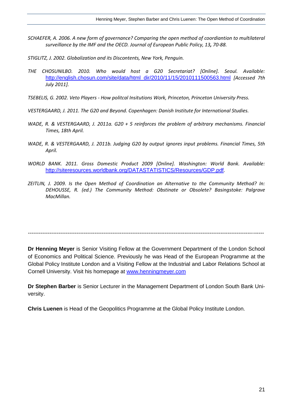- <span id="page-20-6"></span>*SCHAEFER, A. 2006. A new form of governance? Comparing the open method of coordiantion to multilateral surveillance by the IMF and the OECD. Journal of European Public Policy, 13, 70-88.*
- <span id="page-20-7"></span>*STIGLITZ, J. 2002. Globalization and its Discontents, New York, Penguin.*
- <span id="page-20-8"></span>*THE CHOSUNILBO. 2010. Who would host a G20 Secretariat? [Online]. Seoul. Available:*  [http://english.chosun.com/site/data/html\\_dir/2010/11/15/2010111500563.html](http://english.chosun.com/site/data/html_dir/2010/11/15/2010111500563.html) *[Accessed 7th July 2011].*
- <span id="page-20-4"></span>*TSEBELIS, G. 2002. Veto Players - How politcal Insitutions Work, Princeton, Princeton University Press.*
- <span id="page-20-3"></span>*VESTERGAARD, J. 2011. The G20 and Beyond. Copenhagen: Danish Institute for International Studies.*
- <span id="page-20-2"></span>*WADE, R. & VESTERGAARD, J. 2011a. G20 + 5 reinforces the problem of arbitrary mechanisms. Financial Times, 18th April.*
- <span id="page-20-1"></span>*WADE, R. & VESTERGAARD, J. 2011b. Judging G20 by output ignores input problems. Financial Times, 5th April.*
- <span id="page-20-0"></span>*WORLD BANK. 2011. Gross Domestic Product 2009 [Online]. Washington: World Bank. Available:*  <http://siteresources.worldbank.org/DATASTATISTICS/Resources/GDP.pdf>*.*
- <span id="page-20-5"></span>*ZEITLIN, J. 2009. Is the Open Method of Coordination an Alternative to the Community Method? In: DEHOUSSE, R. (ed.) The Community Method: Obstinate or Obsolete? Basingstoke: Palgrave MacMillan.*

*-----------------------------------------------------------------------------------------------------------------------------------*

**Dr Henning Meyer** is Senior Visiting Fellow at the Government Department of the London School of Economics and Political Science. Previously he was Head of the European Programme at the Global Policy Institute London and a Visiting Fellow at the Industrial and Labor Relations School at Cornell University. Visit his homepage at [www.henningmeyer.com](http://www.henningmeyer.com/)

**Dr Stephen Barber** is Senior Lecturer in the Management Department of London South Bank University.

**Chris Luenen** is Head of the Geopolitics Programme at the Global Policy Institute London.